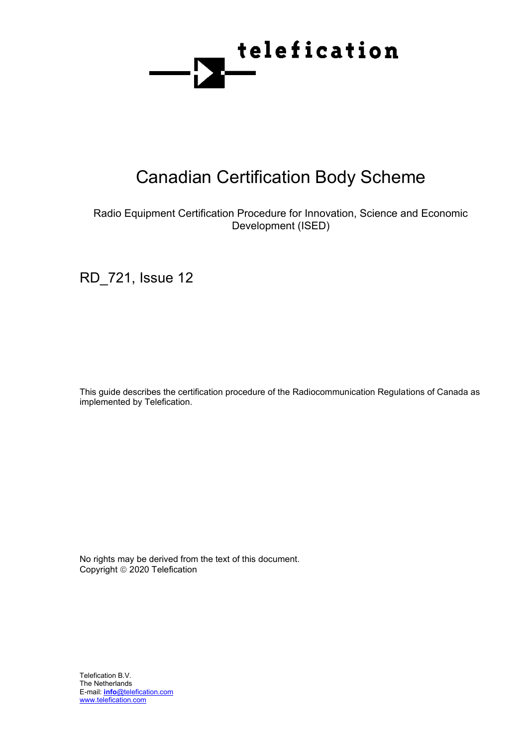

# Canadian Certification Body Scheme

# Radio Equipment Certification Procedure for Innovation, Science and Economic Development (ISED)

RD\_721, Issue 12

This guide describes the certification procedure of the Radiocommunication Regulations of Canada as implemented by Telefication.

No rights may be derived from the text of this document. Copyright © 2020 Telefication

Telefication B.V. The Netherlands E-mail: **info**@telefication.com [www.telefication.com](http://www.telefication.com/)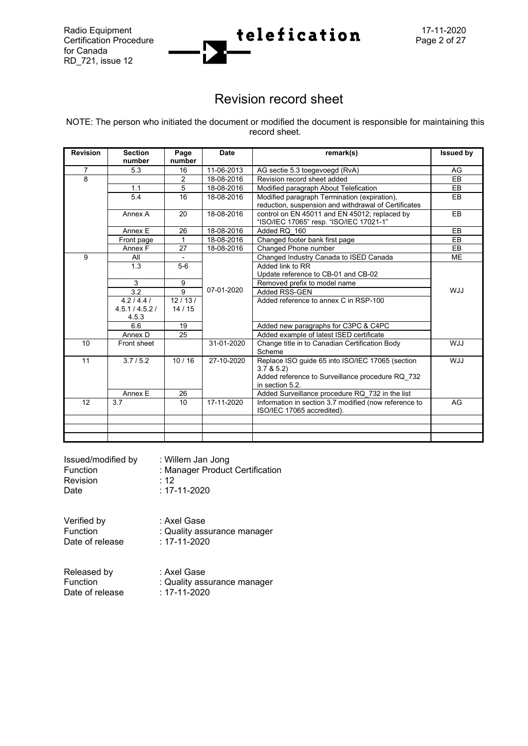for Canada RD\_721, issue 12



# Revision record sheet

NOTE: The person who initiated the document or modified the document is responsible for maintaining this record sheet.

| <b>Revision</b> | <b>Section</b>           |                | <b>Date</b> | remark(s)                                                                                                                            | <b>Issued by</b> |
|-----------------|--------------------------|----------------|-------------|--------------------------------------------------------------------------------------------------------------------------------------|------------------|
|                 | number                   | Page<br>number |             |                                                                                                                                      |                  |
| $\overline{7}$  | 5.3                      | 16             | 11-06-2013  | AG sectie 5.3 toegevoegd (RvA)                                                                                                       | AG               |
| 8               |                          | 2              | 18-08-2016  | Revision record sheet added                                                                                                          | EB               |
|                 | 1.1                      | 5              | 18-08-2016  | Modified paragraph About Telefication                                                                                                | <b>EB</b>        |
|                 | 5.4                      | 16             | 18-08-2016  | Modified paragraph Termination (expiration),<br>reduction, suspension and withdrawal of Certificates                                 | EB               |
|                 | Annex A                  | 20             | 18-08-2016  | control on EN 45011 and EN 45012; replaced by<br>"ISO/IEC 17065" resp. "ISO/IEC 17021-1"                                             | EB               |
|                 | Annex E                  | 26             | 18-08-2016  | Added RQ 160                                                                                                                         | <b>EB</b>        |
|                 | Front page               | 1              | 18-08-2016  | Changed footer bank first page                                                                                                       | EB               |
|                 | Annex F                  | 27             | 18-08-2016  | Changed Phone number                                                                                                                 | EB               |
| 9               | All                      |                |             | Changed Industry Canada to ISED Canada                                                                                               | <b>ME</b>        |
|                 | 1.3                      | $5-6$          |             | Added link to RR<br>Update reference to CB-01 and CB-02                                                                              |                  |
|                 | 3                        | 9              |             | Removed prefix to model name                                                                                                         |                  |
|                 | 3.2                      | 9              | 07-01-2020  | Added RSS-GEN                                                                                                                        | <b>WJJ</b>       |
|                 | 4.2/4.4/                 | 12/13/         |             | Added reference to annex C in RSP-100                                                                                                |                  |
|                 | 4.5.1 / 4.5.2 /<br>4.5.3 | 14/15          |             |                                                                                                                                      |                  |
|                 | 6.6                      | 19             |             | Added new paragraphs for C3PC & C4PC                                                                                                 |                  |
|                 | Annex D                  | 25             |             | Added example of latest ISED certificate                                                                                             |                  |
| 10              | Front sheet              |                | 31-01-2020  | Change title in to Canadian Certification Body<br>Scheme                                                                             | <b>WJJ</b>       |
| 11              | 3.7/5.2                  | 10/16          | 27-10-2020  | Replace ISO guide 65 into ISO/IEC 17065 (section<br>3.7 & 5.2<br>Added reference to Surveillance procedure RQ 732<br>in section 5.2. | <b>WJJ</b>       |
|                 | Annex E                  | 26             |             | Added Surveillance procedure RQ 732 in the list                                                                                      |                  |
| 12              | 3.7                      | 10             | 17-11-2020  | Information in section 3.7 modified (now reference to<br>ISO/IEC 17065 accredited).                                                  | AG               |
|                 |                          |                |             |                                                                                                                                      |                  |
|                 |                          |                |             |                                                                                                                                      |                  |
|                 |                          |                |             |                                                                                                                                      |                  |

| Issued/modified by | : Willem Jan Jong               |
|--------------------|---------------------------------|
| <b>Function</b>    | : Manager Product Certification |
| <b>Revision</b>    | $\cdot$ 12                      |
| Date               | $: 17 - 11 - 2020$              |

Verified by : Axel Gase<br>
Function : Quality ass : Quality assurance manager<br>: 17-11-2020 Date of release

Released by : Axel Gase Function : Quality assurance manager<br>Date of release : 17-11-2020 Date of release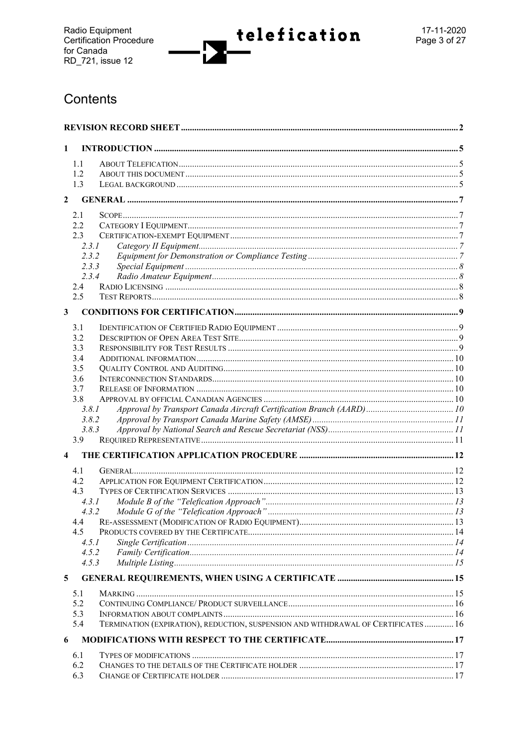telefication

# Contents

| 1                       |                                                                                           |  |  |
|-------------------------|-------------------------------------------------------------------------------------------|--|--|
|                         | 1.1                                                                                       |  |  |
|                         | 1.2                                                                                       |  |  |
|                         | 1.3                                                                                       |  |  |
| $\overline{2}$          |                                                                                           |  |  |
|                         |                                                                                           |  |  |
|                         | 2.1                                                                                       |  |  |
|                         | 2.2<br>2.3                                                                                |  |  |
|                         | 2.3.1                                                                                     |  |  |
|                         | 2.3.2                                                                                     |  |  |
|                         | 2.3.3                                                                                     |  |  |
|                         | 2.3.4                                                                                     |  |  |
|                         | 2.4                                                                                       |  |  |
|                         | 2.5                                                                                       |  |  |
|                         |                                                                                           |  |  |
| $\mathbf{3}$            |                                                                                           |  |  |
|                         | 3.1                                                                                       |  |  |
|                         | 3.2                                                                                       |  |  |
|                         | 3.3                                                                                       |  |  |
|                         | 3.4                                                                                       |  |  |
|                         | 3.5                                                                                       |  |  |
|                         | 3.6                                                                                       |  |  |
|                         | 3.7<br>3.8                                                                                |  |  |
|                         | 3.8.1                                                                                     |  |  |
|                         | 3.8.2                                                                                     |  |  |
|                         | 3.8.3                                                                                     |  |  |
|                         | 3.9                                                                                       |  |  |
| $\overline{\mathbf{4}}$ |                                                                                           |  |  |
|                         |                                                                                           |  |  |
|                         | 4.1                                                                                       |  |  |
|                         | 4.2                                                                                       |  |  |
|                         | 4.3                                                                                       |  |  |
|                         | 4.3.1<br>4.3.2                                                                            |  |  |
|                         | 4.4                                                                                       |  |  |
|                         | 4.5                                                                                       |  |  |
|                         | 4.5.1                                                                                     |  |  |
|                         | 4.5.2                                                                                     |  |  |
|                         | 4.5.3                                                                                     |  |  |
| 5                       |                                                                                           |  |  |
|                         |                                                                                           |  |  |
|                         | 5.1                                                                                       |  |  |
|                         | 5.2                                                                                       |  |  |
|                         | 5.3                                                                                       |  |  |
|                         | TERMINATION (EXPIRATION), REDUCTION, SUSPENSION AND WITHDRAWAL OF CERTIFICATES  16<br>5.4 |  |  |
| 6                       |                                                                                           |  |  |
|                         | 6.1                                                                                       |  |  |
|                         | 6.2                                                                                       |  |  |
|                         | 6.3                                                                                       |  |  |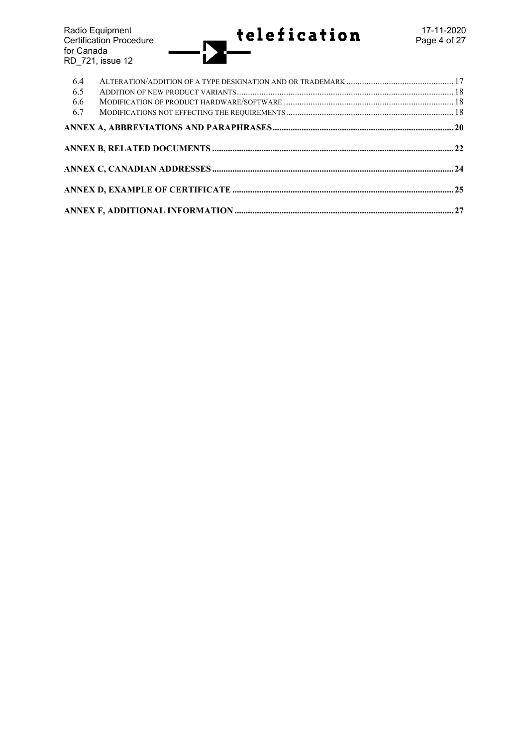Radio Equipment 17-11-2020 Certification Procedure **Page 4 of 27** for Canada RD\_721, issue 12

| 6.4<br>6.5 |  |
|------------|--|
| 6.6<br>6.7 |  |
|            |  |
|            |  |
|            |  |
|            |  |
|            |  |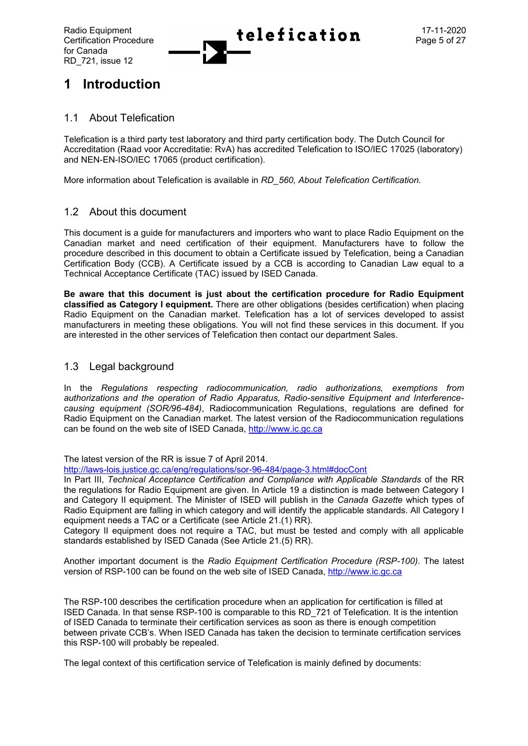

# **1 Introduction**

## 1.1 About Telefication

Telefication is a third party test laboratory and third party certification body. The Dutch Council for Accreditation (Raad voor Accreditatie: RvA) has accredited Telefication to ISO/IEC 17025 (laboratory) and NEN-EN-ISO/IEC 17065 (product certification).

More information about Telefication is available in *RD\_560, About Telefication Certification.*

## 1.2 About this document

This document is a guide for manufacturers and importers who want to place Radio Equipment on the Canadian market and need certification of their equipment. Manufacturers have to follow the procedure described in this document to obtain a Certificate issued by Telefication, being a Canadian Certification Body (CCB). A Certificate issued by a CCB is according to Canadian Law equal to a Technical Acceptance Certificate (TAC) issued by ISED Canada.

**Be aware that this document is just about the certification procedure for Radio Equipment classified as Category I equipment.** There are other obligations (besides certification) when placing Radio Equipment on the Canadian market. Telefication has a lot of services developed to assist manufacturers in meeting these obligations. You will not find these services in this document. If you are interested in the other services of Telefication then contact our department Sales.

## 1.3 Legal background

In the *Regulations respecting radiocommunication, radio authorizations, exemptions from authorizations and the operation of Radio Apparatus, Radio-sensitive Equipment and Interferencecausing equipment (SOR/96-484)*, Radiocommunication Regulations, regulations are defined for Radio Equipment on the Canadian market. The latest version of the Radiocommunication regulations can be found on the web site of ISED Canada, [http://www.ic.gc.ca](http://www.ic.gc.ca/)

The latest version of the RR is issue 7 of April 2014.

<http://laws-lois.justice.gc.ca/eng/regulations/sor-96-484/page-3.html#docCont>

In Part III, *Technical Acceptance Certification and Compliance with Applicable Standards* of the RR the regulations for Radio Equipment are given. In Article 19 a distinction is made between Category I and Category II equipment. The Minister of ISED will publish in the *Canada Gazette* which types of Radio Equipment are falling in which category and will identify the applicable standards. All Category I equipment needs a TAC or a Certificate (see Article 21.(1) RR).

Category II equipment does not require a TAC, but must be tested and comply with all applicable standards established by ISED Canada (See Article 21.(5) RR).

Another important document is the *Radio Equipment Certification Procedure (RSP-100).* The latest version of RSP-100 can be found on the web site of ISED Canada, [http://www.ic.gc.ca](http://www.ic.gc.ca/)

The RSP-100 describes the certification procedure when an application for certification is filled at ISED Canada. In that sense RSP-100 is comparable to this RD\_721 of Telefication. It is the intention of ISED Canada to terminate their certification services as soon as there is enough competition between private CCB's. When ISED Canada has taken the decision to terminate certification services this RSP-100 will probably be repealed.

The legal context of this certification service of Telefication is mainly defined by documents: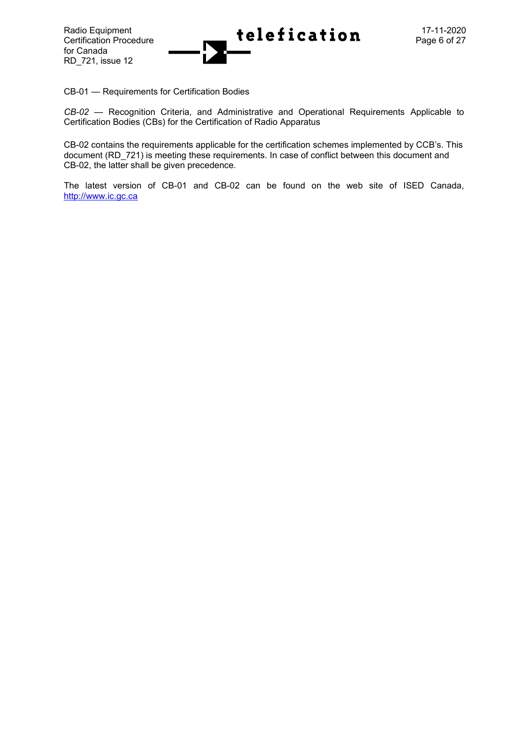

CB-01 — [Requirements for Certification Bodies](http://www.ic.gc.ca/eic/site/smt-gst.nsf/eng/sf05612.html)

*CB-02* — Recognition Criteria, and Administrative and Operational Requirements Applicable to Certification Bodies (CBs) for the Certification of Radio Apparatus

CB-02 contains the requirements applicable for the certification schemes implemented by CCB's. This document (RD\_721) is meeting these requirements. In case of conflict between this document and CB-02, the latter shall be given precedence.

The latest version of CB-01 and CB-02 can be found on the web site of ISED Canada, [http://www.ic.gc.ca](http://www.ic.gc.ca/)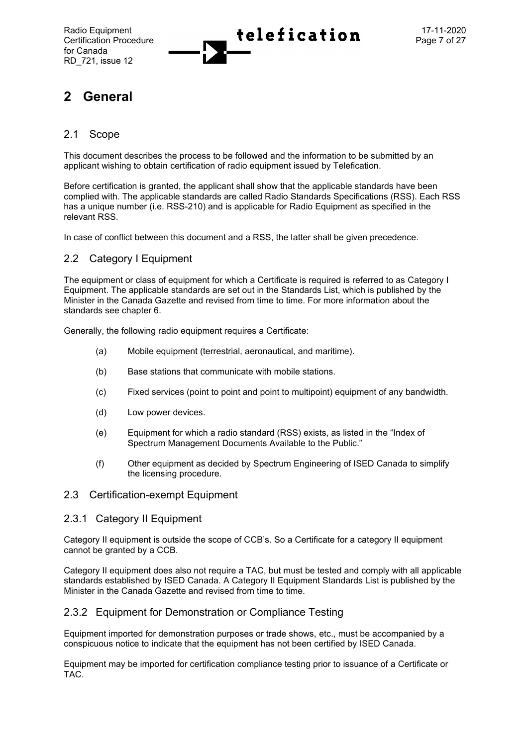

# **2 General**

## 2.1 Scope

This document describes the process to be followed and the information to be submitted by an applicant wishing to obtain certification of radio equipment issued by Telefication.

Before certification is granted, the applicant shall show that the applicable standards have been complied with. The applicable standards are called Radio Standards Specifications (RSS). Each RSS has a unique number (i.e. RSS-210) and is applicable for Radio Equipment as specified in the relevant RSS.

In case of conflict between this document and a RSS, the latter shall be given precedence.

## 2.2 Category I Equipment

The equipment or class of equipment for which a Certificate is required is referred to as Category I Equipment. The applicable standards are set out in the Standards List, which is published by the Minister in the Canada Gazette and revised from time to time. For more information about the standards see chapter 6.

Generally, the following radio equipment requires a Certificate:

- (a) Mobile equipment (terrestrial, aeronautical, and maritime).
- (b) Base stations that communicate with mobile stations.
- (c) Fixed services (point to point and point to multipoint) equipment of any bandwidth.
- (d) Low power devices.
- (e) Equipment for which a radio standard (RSS) exists, as listed in the "Index of Spectrum Management Documents Available to the Public."
- (f) Other equipment as decided by Spectrum Engineering of ISED Canada to simplify the licensing procedure.

#### 2.3 Certification-exempt Equipment

#### 2.3.1 Category II Equipment

Category II equipment is outside the scope of CCB's. So a Certificate for a category II equipment cannot be granted by a CCB.

Category II equipment does also not require a TAC, but must be tested and comply with all applicable standards established by ISED Canada. A Category II Equipment Standards List is published by the Minister in the Canada Gazette and revised from time to time.

## 2.3.2 Equipment for Demonstration or Compliance Testing

Equipment imported for demonstration purposes or trade shows, etc., must be accompanied by a conspicuous notice to indicate that the equipment has not been certified by ISED Canada.

Equipment may be imported for certification compliance testing prior to issuance of a Certificate or TAC.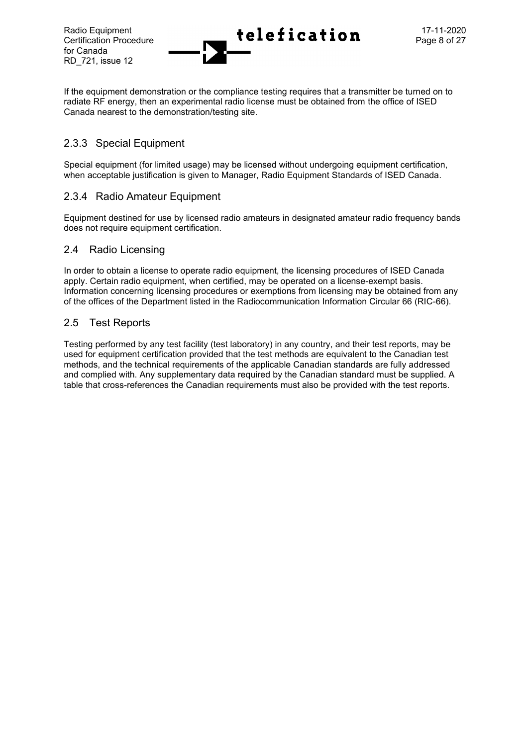for Canada RD\_721, issue 12

If the equipment demonstration or the compliance testing requires that a transmitter be turned on to radiate RF energy, then an experimental radio license must be obtained from the office of ISED Canada nearest to the demonstration/testing site.

## 2.3.3 Special Equipment

Special equipment (for limited usage) may be licensed without undergoing equipment certification, when acceptable justification is given to Manager, Radio Equipment Standards of ISED Canada.

## 2.3.4 Radio Amateur Equipment

Equipment destined for use by licensed radio amateurs in designated amateur radio frequency bands does not require equipment certification.

#### 2.4 Radio Licensing

In order to obtain a license to operate radio equipment, the licensing procedures of ISED Canada apply. Certain radio equipment, when certified, may be operated on a license-exempt basis. Information concerning licensing procedures or exemptions from licensing may be obtained from any of the offices of the Department listed in the Radiocommunication Information Circular 66 (RIC-66).

#### 2.5 Test Reports

Testing performed by any test facility (test laboratory) in any country, and their test reports, may be used for equipment certification provided that the test methods are equivalent to the Canadian test methods, and the technical requirements of the applicable Canadian standards are fully addressed and complied with. Any supplementary data required by the Canadian standard must be supplied. A table that cross-references the Canadian requirements must also be provided with the test reports.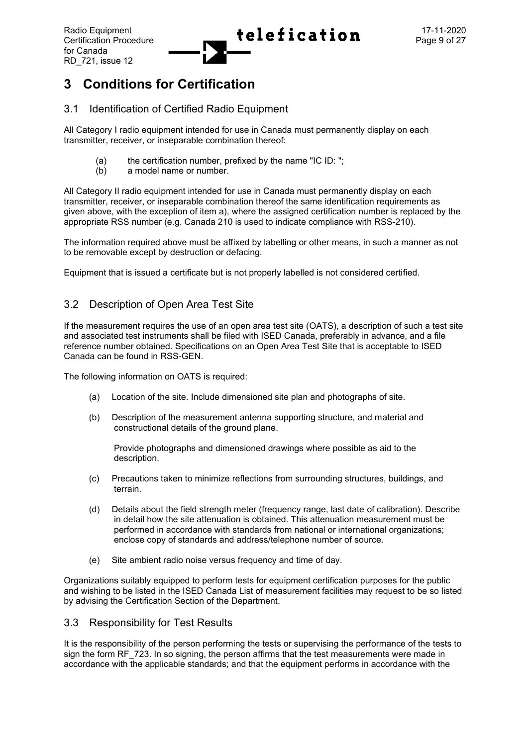

# **3 Conditions for Certification**

## 3.1 Identification of Certified Radio Equipment

All Category I radio equipment intended for use in Canada must permanently display on each transmitter, receiver, or inseparable combination thereof:

- (a) the certification number, prefixed by the name "IC ID: ";
- (b) a model name or number.

All Category II radio equipment intended for use in Canada must permanently display on each transmitter, receiver, or inseparable combination thereof the same identification requirements as given above, with the exception of item a), where the assigned certification number is replaced by the appropriate RSS number (e.g. Canada 210 is used to indicate compliance with RSS-210).

The information required above must be affixed by labelling or other means, in such a manner as not to be removable except by destruction or defacing.

Equipment that is issued a certificate but is not properly labelled is not considered certified.

## 3.2 Description of Open Area Test Site

If the measurement requires the use of an open area test site (OATS), a description of such a test site and associated test instruments shall be filed with ISED Canada, preferably in advance, and a file reference number obtained. Specifications on an Open Area Test Site that is acceptable to ISED Canada can be found in RSS-GEN.

The following information on OATS is required:

- (a) Location of the site. Include dimensioned site plan and photographs of site.
- (b) Description of the measurement antenna supporting structure, and material and constructional details of the ground plane.

Provide photographs and dimensioned drawings where possible as aid to the description.

- (c) Precautions taken to minimize reflections from surrounding structures, buildings, and terrain.
- (d) Details about the field strength meter (frequency range, last date of calibration). Describe in detail how the site attenuation is obtained. This attenuation measurement must be performed in accordance with standards from national or international organizations; enclose copy of standards and address/telephone number of source.
- (e) Site ambient radio noise versus frequency and time of day.

Organizations suitably equipped to perform tests for equipment certification purposes for the public and wishing to be listed in the ISED Canada List of measurement facilities may request to be so listed by advising the Certification Section of the Department.

## 3.3 Responsibility for Test Results

It is the responsibility of the person performing the tests or supervising the performance of the tests to sign the form RF, 723. In so signing, the person affirms that the test measurements were made in accordance with the applicable standards; and that the equipment performs in accordance with the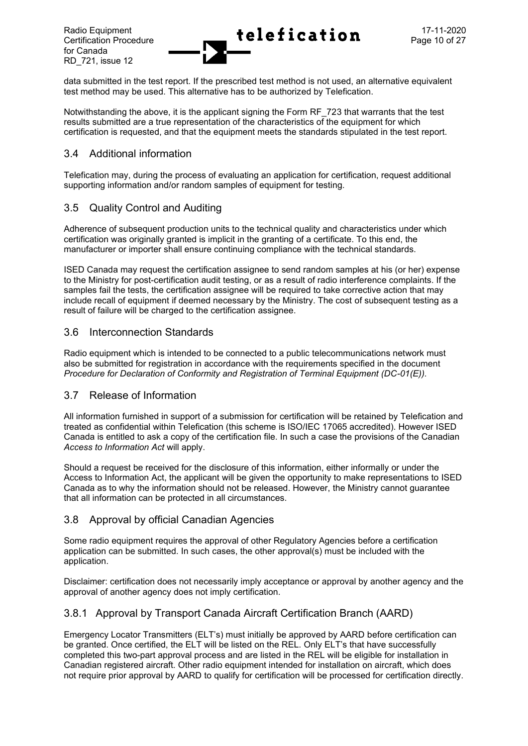

data submitted in the test report. If the prescribed test method is not used, an alternative equivalent test method may be used. This alternative has to be authorized by Telefication.

Notwithstanding the above, it is the applicant signing the Form RF\_723 that warrants that the test results submitted are a true representation of the characteristics of the equipment for which certification is requested, and that the equipment meets the standards stipulated in the test report.

## 3.4 Additional information

Telefication may, during the process of evaluating an application for certification, request additional supporting information and/or random samples of equipment for testing.

# 3.5 Quality Control and Auditing

Adherence of subsequent production units to the technical quality and characteristics under which certification was originally granted is implicit in the granting of a certificate. To this end, the manufacturer or importer shall ensure continuing compliance with the technical standards.

ISED Canada may request the certification assignee to send random samples at his (or her) expense to the Ministry for post-certification audit testing, or as a result of radio interference complaints. If the samples fail the tests, the certification assignee will be required to take corrective action that may include recall of equipment if deemed necessary by the Ministry. The cost of subsequent testing as a result of failure will be charged to the certification assignee.

## 3.6 Interconnection Standards

Radio equipment which is intended to be connected to a public telecommunications network must also be submitted for registration in accordance with the requirements specified in the document *Procedure for Declaration of Conformity and Registration of Terminal Equipment (DC-01(E)).*

## 3.7 Release of Information

All information furnished in support of a submission for certification will be retained by Telefication and treated as confidential within Telefication (this scheme is ISO/IEC 17065 accredited). However ISED Canada is entitled to ask a copy of the certification file. In such a case the provisions of the Canadian *Access to Information Act* will apply.

Should a request be received for the disclosure of this information, either informally or under the Access to Information Act, the applicant will be given the opportunity to make representations to ISED Canada as to why the information should not be released. However, the Ministry cannot guarantee that all information can be protected in all circumstances.

## 3.8 Approval by official Canadian Agencies

Some radio equipment requires the approval of other Regulatory Agencies before a certification application can be submitted. In such cases, the other approval(s) must be included with the application.

Disclaimer: certification does not necessarily imply acceptance or approval by another agency and the approval of another agency does not imply certification.

## 3.8.1 Approval by Transport Canada Aircraft Certification Branch (AARD)

Emergency Locator Transmitters (ELT's) must initially be approved by AARD before certification can be granted. Once certified, the ELT will be listed on the REL. Only ELT's that have successfully completed this two-part approval process and are listed in the REL will be eligible for installation in Canadian registered aircraft. Other radio equipment intended for installation on aircraft, which does not require prior approval by AARD to qualify for certification will be processed for certification directly.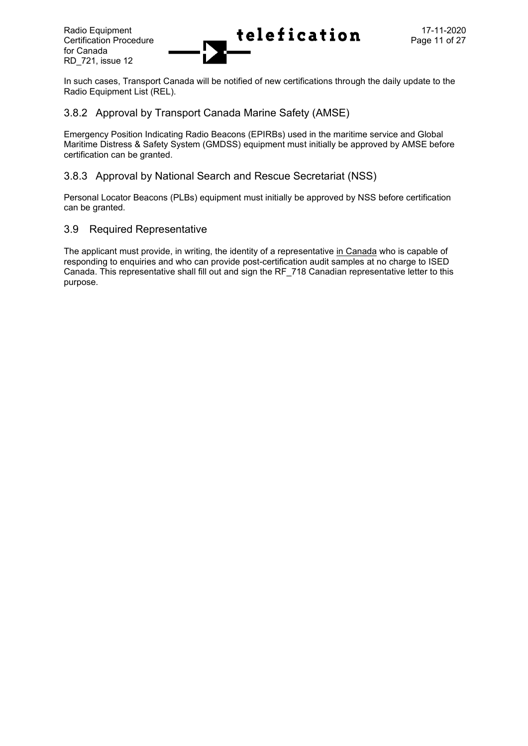

In such cases, Transport Canada will be notified of new certifications through the daily update to the Radio Equipment List (REL).

## 3.8.2 Approval by Transport Canada Marine Safety (AMSE)

Emergency Position Indicating Radio Beacons (EPIRBs) used in the maritime service and Global Maritime Distress & Safety System (GMDSS) equipment must initially be approved by AMSE before certification can be granted.

## 3.8.3 Approval by National Search and Rescue Secretariat (NSS)

Personal Locator Beacons (PLBs) equipment must initially be approved by NSS before certification can be granted.

## 3.9 Required Representative

The applicant must provide, in writing, the identity of a representative in Canada who is capable of responding to enquiries and who can provide post-certification audit samples at no charge to ISED Canada. This representative shall fill out and sign the RF\_718 Canadian representative letter to this purpose.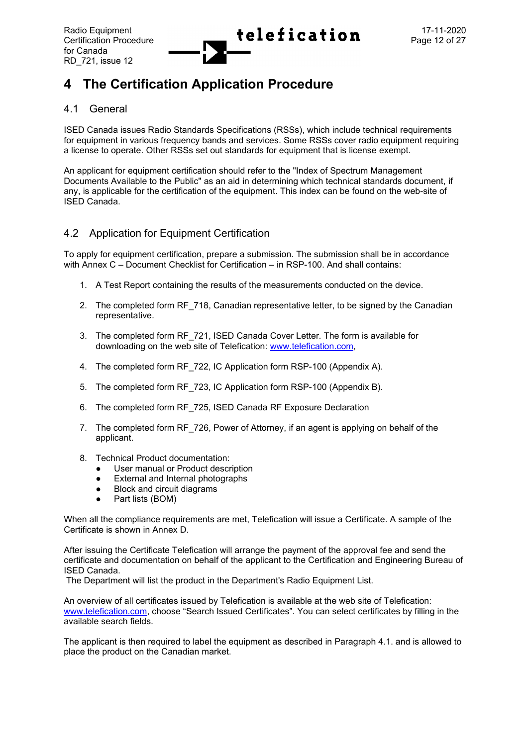

# **4 The Certification Application Procedure**

## 4.1 General

ISED Canada issues Radio Standards Specifications (RSSs), which include technical requirements for equipment in various frequency bands and services. Some RSSs cover radio equipment requiring a license to operate. Other RSSs set out standards for equipment that is license exempt.

An applicant for equipment certification should refer to the "Index of Spectrum Management Documents Available to the Public" as an aid in determining which technical standards document, if any, is applicable for the certification of the equipment. This index can be found on the web-site of ISED Canada.

## 4.2 Application for Equipment Certification

To apply for equipment certification, prepare a submission. The submission shall be in accordance with Annex C – Document Checklist for Certification – in RSP-100. And shall contains:

- 1. A Test Report containing the results of the measurements conducted on the device.
- 2. The completed form RF 718, Canadian representative letter, to be signed by the Canadian representative.
- 3. The completed form RF\_721, ISED Canada Cover Letter*.* The form is available for downloading on the web site of Telefication: [www.telefication.com,](http://www.telefication.com/)
- 4. The completed form RF\_722, IC Application form RSP-100 (Appendix A).
- 5. The completed form RF\_723, IC Application form RSP-100 (Appendix B).
- 6. The completed form RF\_725, ISED Canada RF Exposure Declaration
- 7. The completed form RF\_726, Power of Attorney, if an agent is applying on behalf of the applicant.
- 8. Technical Product documentation:
	- User manual or Product description
	- External and Internal photographs
	- Block and circuit diagrams
	- Part lists (BOM)

When all the compliance requirements are met, Telefication will issue a Certificate. A sample of the Certificate is shown in Annex D.

After issuing the Certificate Telefication will arrange the payment of the approval fee and send the certificate and documentation on behalf of the applicant to the Certification and Engineering Bureau of ISED Canada.

The Department will list the product in the Department's Radio Equipment List.

An overview of all certificates issued by Telefication is available at the web site of Telefication: [www.telefication.com](http://www.telefication.com/), choose "Search Issued Certificates". You can select certificates by filling in the available search fields.

The applicant is then required to label the equipment as described in Paragraph 4.1. and is allowed to place the product on the Canadian market.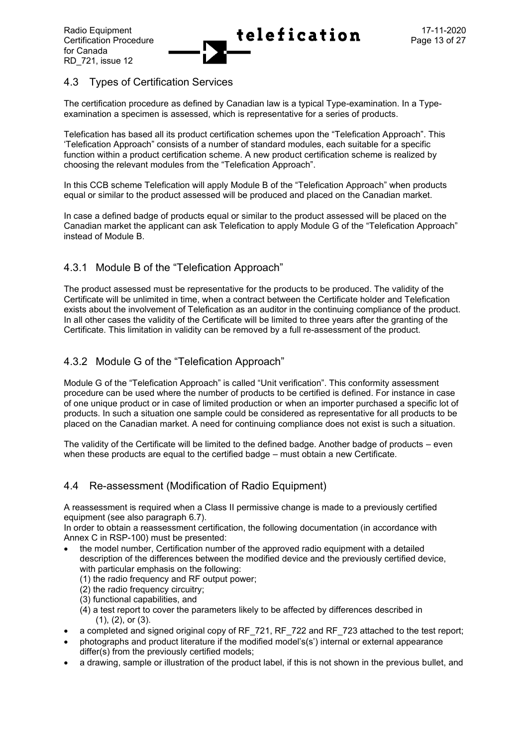# 4.3 Types of Certification Services

The certification procedure as defined by Canadian law is a typical Type-examination. In a Typeexamination a specimen is assessed, which is representative for a series of products.

Telefication has based all its product certification schemes upon the "Telefication Approach". This 'Telefication Approach" consists of a number of standard modules, each suitable for a specific function within a product certification scheme. A new product certification scheme is realized by choosing the relevant modules from the "Telefication Approach".

In this CCB scheme Telefication will apply Module B of the "Telefication Approach" when products equal or similar to the product assessed will be produced and placed on the Canadian market.

In case a defined badge of products equal or similar to the product assessed will be placed on the Canadian market the applicant can ask Telefication to apply Module G of the "Telefication Approach" instead of Module B.

# 4.3.1 Module B of the "Telefication Approach"

The product assessed must be representative for the products to be produced. The validity of the Certificate will be unlimited in time, when a contract between the Certificate holder and Telefication exists about the involvement of Telefication as an auditor in the continuing compliance of the product. In all other cases the validity of the Certificate will be limited to three years after the granting of the Certificate. This limitation in validity can be removed by a full re-assessment of the product.

# 4.3.2 Module G of the "Telefication Approach"

Module G of the "Telefication Approach" is called "Unit verification". This conformity assessment procedure can be used where the number of products to be certified is defined. For instance in case of one unique product or in case of limited production or when an importer purchased a specific lot of products. In such a situation one sample could be considered as representative for all products to be placed on the Canadian market. A need for continuing compliance does not exist is such a situation.

The validity of the Certificate will be limited to the defined badge. Another badge of products – even when these products are equal to the certified badge – must obtain a new Certificate.

## 4.4 Re-assessment (Modification of Radio Equipment)

A reassessment is required when a Class II permissive change is made to a previously certified equipment (see also paragraph 6.7).

In order to obtain a reassessment certification, the following documentation (in accordance with Annex C in RSP-100) must be presented:

- the model number, Certification number of the approved radio equipment with a detailed description of the differences between the modified device and the previously certified device, with particular emphasis on the following:
	- (1) the radio frequency and RF output power;
	- (2) the radio frequency circuitry;
	- (3) functional capabilities, and
	- (4) a test report to cover the parameters likely to be affected by differences described in (1), (2), or (3).
- a completed and signed original copy of RF\_721, RF\_722 and RF\_723 attached to the test report;
- photographs and product literature if the modified model's(s') internal or external appearance differ(s) from the previously certified models;
- a drawing, sample or illustration of the product label, if this is not shown in the previous bullet, and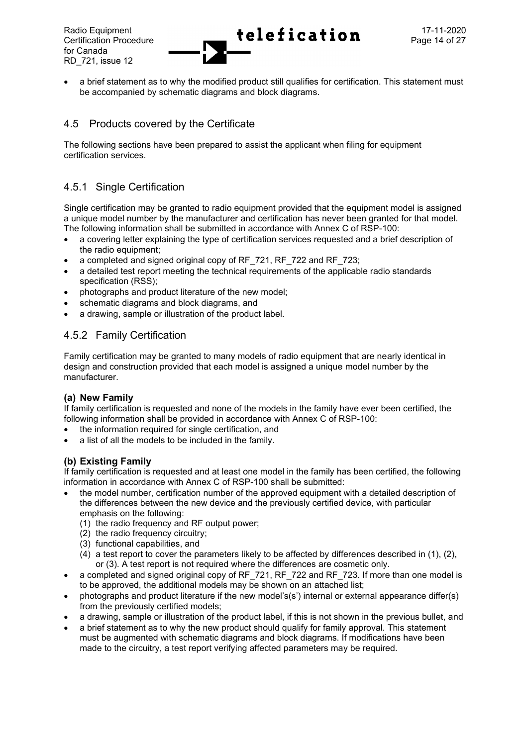

a brief statement as to why the modified product still qualifies for certification. This statement must be accompanied by schematic diagrams and block diagrams.

# 4.5 Products covered by the Certificate

The following sections have been prepared to assist the applicant when filing for equipment certification services.

# 4.5.1 Single Certification

Single certification may be granted to radio equipment provided that the equipment model is assigned a unique model number by the manufacturer and certification has never been granted for that model. The following information shall be submitted in accordance with Annex C of RSP-100:

- a covering letter explaining the type of certification services requested and a brief description of the radio equipment;
- a completed and signed original copy of RF\_721, RF\_722 and RF\_723;
- a detailed test report meeting the technical requirements of the applicable radio standards specification (RSS);
- photographs and product literature of the new model;
- schematic diagrams and block diagrams, and
- a drawing, sample or illustration of the product label.

# 4.5.2 Family Certification

Family certification may be granted to many models of radio equipment that are nearly identical in design and construction provided that each model is assigned a unique model number by the manufacturer.

## **(a) New Family**

If family certification is requested and none of the models in the family have ever been certified, the following information shall be provided in accordance with Annex C of RSP-100:

- the information required for single certification, and
- a list of all the models to be included in the family.

## **(b) Existing Family**

If family certification is requested and at least one model in the family has been certified, the following information in accordance with Annex C of RSP-100 shall be submitted:

- the model number, certification number of the approved equipment with a detailed description of the differences between the new device and the previously certified device, with particular emphasis on the following:
	- (1) the radio frequency and RF output power;
	- (2) the radio frequency circuitry;
	- (3) functional capabilities, and
	- (4) a test report to cover the parameters likely to be affected by differences described in (1), (2), or (3). A test report is not required where the differences are cosmetic only.
- a completed and signed original copy of RF\_721, RF\_722 and RF\_723. If more than one model is to be approved, the additional models may be shown on an attached list;
- photographs and product literature if the new model's(s') internal or external appearance differ(s) from the previously certified models;
- a drawing, sample or illustration of the product label, if this is not shown in the previous bullet, and
- a brief statement as to why the new product should qualify for family approval. This statement must be augmented with schematic diagrams and block diagrams. If modifications have been made to the circuitry, a test report verifying affected parameters may be required.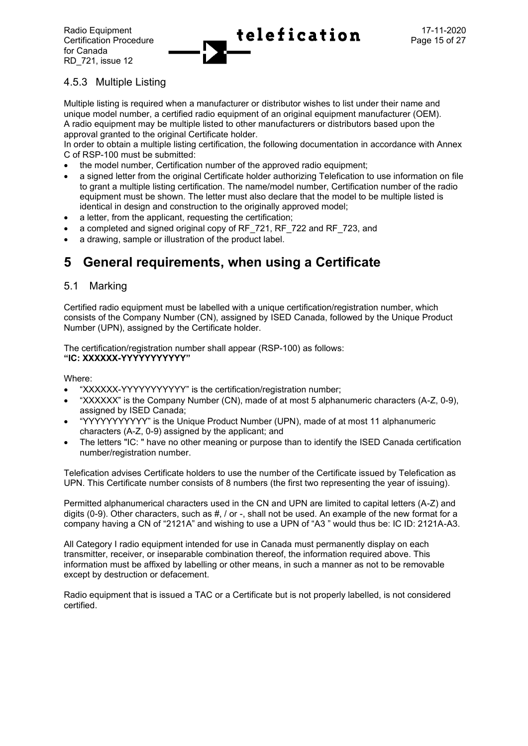

# 4.5.3 Multiple Listing

Multiple listing is required when a manufacturer or distributor wishes to list under their name and unique model number, a certified radio equipment of an original equipment manufacturer (OEM). A radio equipment may be multiple listed to other manufacturers or distributors based upon the approval granted to the original Certificate holder.

In order to obtain a multiple listing certification, the following documentation in accordance with Annex C of RSP-100 must be submitted:

- the model number, Certification number of the approved radio equipment;
- a signed letter from the original Certificate holder authorizing Telefication to use information on file to grant a multiple listing certification. The name/model number, Certification number of the radio equipment must be shown. The letter must also declare that the model to be multiple listed is identical in design and construction to the originally approved model;
- a letter, from the applicant, requesting the certification;
- a completed and signed original copy of RF\_721, RF\_722 and RF\_723, and
- a drawing, sample or illustration of the product label.

# **5 General requirements, when using a Certificate**

## 5.1 Marking

Certified radio equipment must be labelled with a unique certification/registration number, which consists of the Company Number (CN), assigned by ISED Canada, followed by the Unique Product Number (UPN), assigned by the Certificate holder.

The certification/registration number shall appear (RSP-100) as follows: **"IC: XXXXXX-YYYYYYYYYYY"**

Where:

- "XXXXXX-YYYYYYYYYYY" is the certification/registration number;
- "XXXXXX" is the Company Number (CN), made of at most 5 alphanumeric characters (A-Z, 0-9), assigned by ISED Canada;
- "YYYYYYYYYYY" is the Unique Product Number (UPN), made of at most 11 alphanumeric characters (A-Z, 0-9) assigned by the applicant; and
- The letters "IC: " have no other meaning or purpose than to identify the ISED Canada certification number/registration number.

Telefication advises Certificate holders to use the number of the Certificate issued by Telefication as UPN. This Certificate number consists of 8 numbers (the first two representing the year of issuing).

Permitted alphanumerical characters used in the CN and UPN are limited to capital letters (A-Z) and digits (0-9). Other characters, such as #, / or -, shall not be used. An example of the new format for a company having a CN of "2121A" and wishing to use a UPN of "A3 " would thus be: IC ID: 2121A-A3.

All Category I radio equipment intended for use in Canada must permanently display on each transmitter, receiver, or inseparable combination thereof, the information required above. This information must be affixed by labelling or other means, in such a manner as not to be removable except by destruction or defacement.

Radio equipment that is issued a TAC or a Certificate but is not properly labelled, is not considered certified.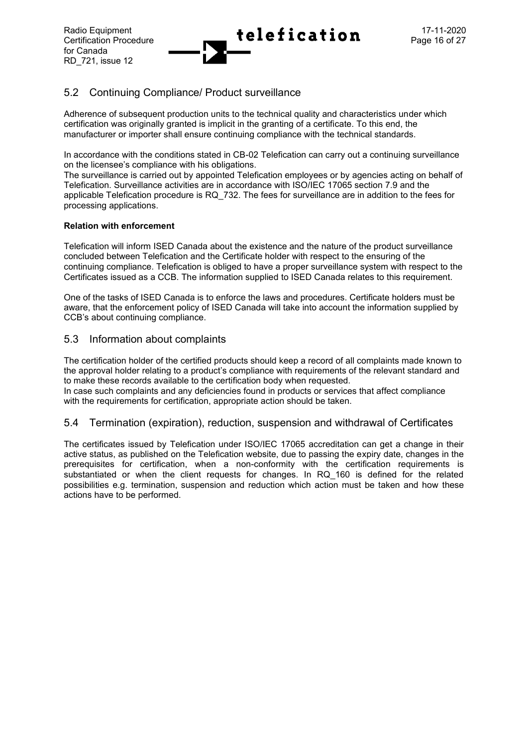

## 5.2 Continuing Compliance/ Product surveillance

Adherence of subsequent production units to the technical quality and characteristics under which certification was originally granted is implicit in the granting of a certificate. To this end, the manufacturer or importer shall ensure continuing compliance with the technical standards.

In accordance with the conditions stated in CB-02 Telefication can carry out a continuing surveillance on the licensee's compliance with his obligations.

The surveillance is carried out by appointed Telefication employees or by agencies acting on behalf of Telefication. Surveillance activities are in accordance with ISO/IEC 17065 section 7.9 and the applicable Telefication procedure is RQ\_732. The fees for surveillance are in addition to the fees for processing applications.

#### **Relation with enforcement**

Telefication will inform ISED Canada about the existence and the nature of the product surveillance concluded between Telefication and the Certificate holder with respect to the ensuring of the continuing compliance. Telefication is obliged to have a proper surveillance system with respect to the Certificates issued as a CCB. The information supplied to ISED Canada relates to this requirement.

One of the tasks of ISED Canada is to enforce the laws and procedures. Certificate holders must be aware, that the enforcement policy of ISED Canada will take into account the information supplied by CCB's about continuing compliance.

## 5.3 Information about complaints

The certification holder of the certified products should keep a record of all complaints made known to the approval holder relating to a product's compliance with requirements of the relevant standard and to make these records available to the certification body when requested.

In case such complaints and any deficiencies found in products or services that affect compliance with the requirements for certification, appropriate action should be taken.

## 5.4 Termination (expiration), reduction, suspension and withdrawal of Certificates

The certificates issued by Telefication under ISO/IEC 17065 accreditation can get a change in their active status, as published on the Telefication website, due to passing the expiry date, changes in the prerequisites for certification, when a non-conformity with the certification requirements is substantiated or when the client requests for changes. In RQ 160 is defined for the related possibilities e.g. termination, suspension and reduction which action must be taken and how these actions have to be performed.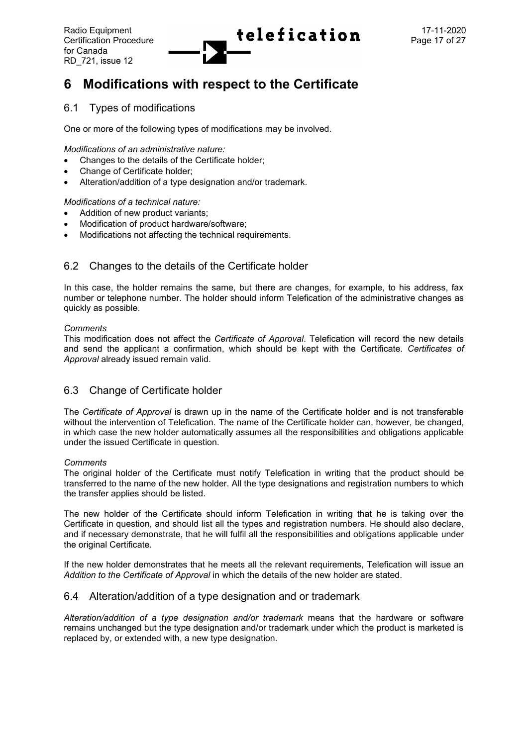

# **6 Modifications with respect to the Certificate**

## 6.1 Types of modifications

One or more of the following types of modifications may be involved.

*Modifications of an administrative nature:*

- Changes to the details of the Certificate holder;
- Change of Certificate holder;
- Alteration/addition of a type designation and/or trademark.

*Modifications of a technical nature:*

- Addition of new product variants:
- Modification of product hardware/software;
- Modifications not affecting the technical requirements.

## 6.2 Changes to the details of the Certificate holder

In this case, the holder remains the same, but there are changes, for example, to his address, fax number or telephone number. The holder should inform Telefication of the administrative changes as quickly as possible.

#### *Comments*

This modification does not affect the *Certificate of Approval*. Telefication will record the new details and send the applicant a confirmation, which should be kept with the Certificate. *Certificates of Approval* already issued remain valid.

## 6.3 Change of Certificate holder

The *Certificate of Approval* is drawn up in the name of the Certificate holder and is not transferable without the intervention of Telefication. The name of the Certificate holder can, however, be changed, in which case the new holder automatically assumes all the responsibilities and obligations applicable under the issued Certificate in question.

#### *Comments*

The original holder of the Certificate must notify Telefication in writing that the product should be transferred to the name of the new holder. All the type designations and registration numbers to which the transfer applies should be listed.

The new holder of the Certificate should inform Telefication in writing that he is taking over the Certificate in question, and should list all the types and registration numbers. He should also declare, and if necessary demonstrate, that he will fulfil all the responsibilities and obligations applicable under the original Certificate.

If the new holder demonstrates that he meets all the relevant requirements, Telefication will issue an *Addition to the Certificate of Approval* in which the details of the new holder are stated.

## 6.4 Alteration/addition of a type designation and or trademark

*Alteration/addition of a type designation and/or trademark* means that the hardware or software remains unchanged but the type designation and/or trademark under which the product is marketed is replaced by, or extended with, a new type designation.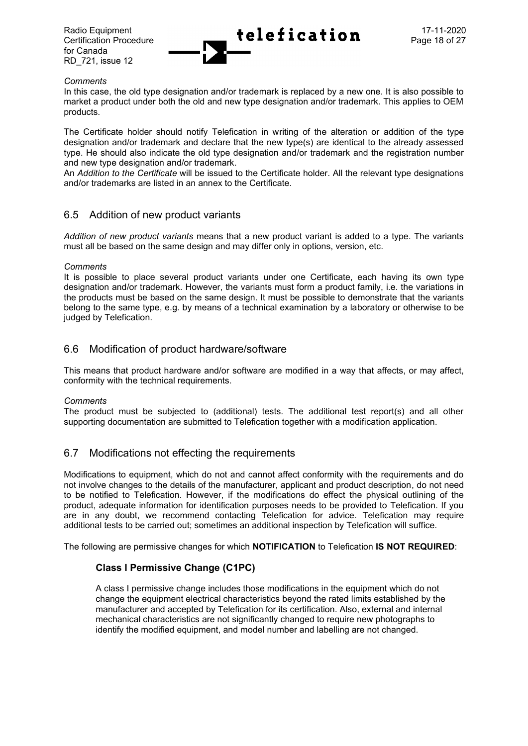for Canada RD\_721, issue 12



#### *Comments*

In this case, the old type designation and/or trademark is replaced by a new one. It is also possible to market a product under both the old and new type designation and/or trademark. This applies to OEM products.

The Certificate holder should notify Telefication in writing of the alteration or addition of the type designation and/or trademark and declare that the new type(s) are identical to the already assessed type. He should also indicate the old type designation and/or trademark and the registration number and new type designation and/or trademark.

An *Addition to the Certificate* will be issued to the Certificate holder. All the relevant type designations and/or trademarks are listed in an annex to the Certificate.

## 6.5 Addition of new product variants

*Addition of new product variants* means that a new product variant is added to a type. The variants must all be based on the same design and may differ only in options, version, etc.

#### *Comments*

It is possible to place several product variants under one Certificate, each having its own type designation and/or trademark. However, the variants must form a product family, i.e. the variations in the products must be based on the same design. It must be possible to demonstrate that the variants belong to the same type, e.g. by means of a technical examination by a laboratory or otherwise to be judged by Telefication.

## 6.6 Modification of product hardware/software

This means that product hardware and/or software are modified in a way that affects, or may affect, conformity with the technical requirements.

#### *Comments*

The product must be subjected to (additional) tests. The additional test report(s) and all other supporting documentation are submitted to Telefication together with a modification application.

## 6.7 Modifications not effecting the requirements

Modifications to equipment, which do not and cannot affect conformity with the requirements and do not involve changes to the details of the manufacturer, applicant and product description, do not need to be notified to Telefication. However, if the modifications do effect the physical outlining of the product, adequate information for identification purposes needs to be provided to Telefication. If you are in any doubt, we recommend contacting Telefication for advice. Telefication may require additional tests to be carried out; sometimes an additional inspection by Telefication will suffice.

The following are permissive changes for which **NOTIFICATION** to Telefication **IS NOT REQUIRED**:

## **Class I Permissive Change (C1PC)**

A class I permissive change includes those modifications in the equipment which do not change the equipment electrical characteristics beyond the rated limits established by the manufacturer and accepted by Telefication for its certification. Also, external and internal mechanical characteristics are not significantly changed to require new photographs to identify the modified equipment, and model number and labelling are not changed.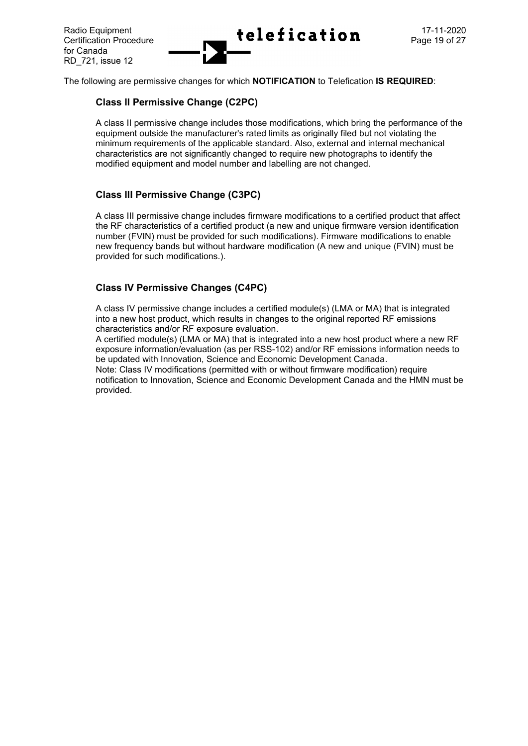

The following are permissive changes for which **NOTIFICATION** to Telefication **IS REQUIRED**:

## **Class II Permissive Change (C2PC)**

A class II permissive change includes those modifications, which bring the performance of the equipment outside the manufacturer's rated limits as originally filed but not violating the minimum requirements of the applicable standard. Also, external and internal mechanical characteristics are not significantly changed to require new photographs to identify the modified equipment and model number and labelling are not changed.

## **Class III Permissive Change (C3PC)**

A class III permissive change includes firmware modifications to a certified product that affect the RF characteristics of a certified product (a new and unique firmware version identification number (FVIN) must be provided for such modifications). Firmware modifications to enable new frequency bands but without hardware modification (A new and unique (FVIN) must be provided for such modifications.).

## **Class IV Permissive Changes (C4PC)**

A class IV permissive change includes a certified module(s) (LMA or MA) that is integrated into a new host product, which results in changes to the original reported RF emissions characteristics and/or RF exposure evaluation.

A certified module(s) (LMA or MA) that is integrated into a new host product where a new RF exposure information/evaluation (as per RSS-102) and/or RF emissions information needs to be updated with Innovation, Science and Economic Development Canada.

Note: Class IV modifications (permitted with or without firmware modification) require notification to Innovation, Science and Economic Development Canada and the HMN must be provided.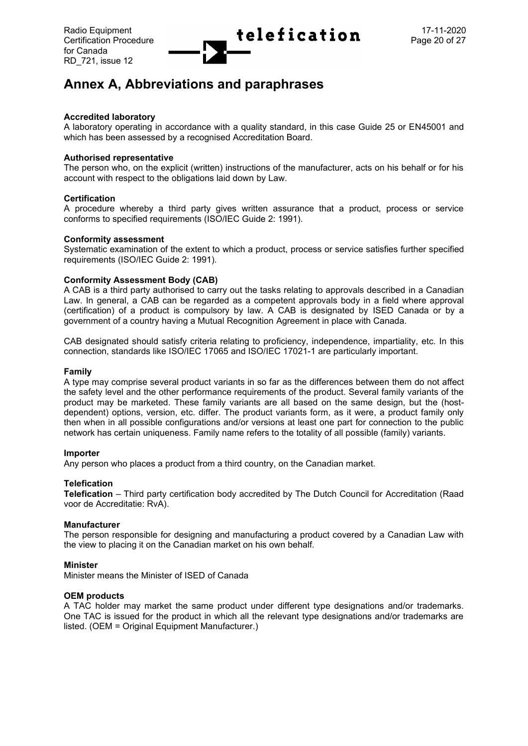

# **Annex A, Abbreviations and paraphrases**

#### **Accredited laboratory**

A laboratory operating in accordance with a quality standard, in this case Guide 25 or EN45001 and which has been assessed by a recognised Accreditation Board.

#### **Authorised representative**

The person who, on the explicit (written) instructions of the manufacturer, acts on his behalf or for his account with respect to the obligations laid down by Law.

#### **Certification**

A procedure whereby a third party gives written assurance that a product, process or service conforms to specified requirements (ISO/IEC Guide 2: 1991).

#### **Conformity assessment**

Systematic examination of the extent to which a product, process or service satisfies further specified requirements (ISO/IEC Guide 2: 1991).

#### **Conformity Assessment Body (CAB)**

A CAB is a third party authorised to carry out the tasks relating to approvals described in a Canadian Law. In general, a CAB can be regarded as a competent approvals body in a field where approval (certification) of a product is compulsory by law. A CAB is designated by ISED Canada or by a government of a country having a Mutual Recognition Agreement in place with Canada.

CAB designated should satisfy criteria relating to proficiency, independence, impartiality, etc. In this connection, standards like ISO/IEC 17065 and ISO/IEC 17021-1 are particularly important.

#### **Family**

A type may comprise several product variants in so far as the differences between them do not affect the safety level and the other performance requirements of the product. Several family variants of the product may be marketed. These family variants are all based on the same design, but the (hostdependent) options, version, etc. differ. The product variants form, as it were, a product family only then when in all possible configurations and/or versions at least one part for connection to the public network has certain uniqueness. Family name refers to the totality of all possible (family) variants.

#### **Importer**

Any person who places a product from a third country, on the Canadian market.

#### **Telefication**

**Telefication** – Third party certification body accredited by The Dutch Council for Accreditation (Raad voor de Accreditatie: RvA).

#### **Manufacturer**

The person responsible for designing and manufacturing a product covered by a Canadian Law with the view to placing it on the Canadian market on his own behalf.

#### **Minister**

Minister means the Minister of ISED of Canada

#### **OEM products**

A TAC holder may market the same product under different type designations and/or trademarks. One TAC is issued for the product in which all the relevant type designations and/or trademarks are listed. (OEM = Original Equipment Manufacturer.)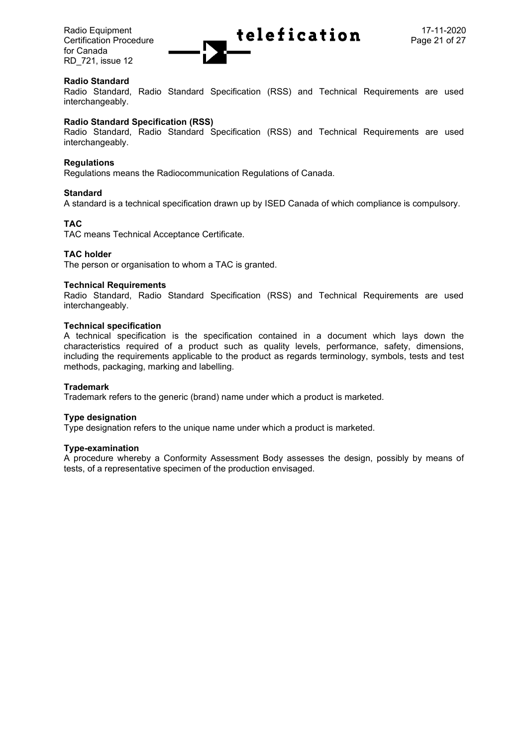for Canada RD\_721, issue 12



#### **Radio Standard**

Radio Standard, Radio Standard Specification (RSS) and Technical Requirements are used interchangeably.

#### **Radio Standard Specification (RSS)**

Radio Standard, Radio Standard Specification (RSS) and Technical Requirements are used interchangeably.

#### **Regulations**

Regulations means the Radiocommunication Regulations of Canada.

#### **Standard**

A standard is a technical specification drawn up by ISED Canada of which compliance is compulsory.

#### **TAC**

TAC means Technical Acceptance Certificate.

#### **TAC holder**

The person or organisation to whom a TAC is granted.

#### **Technical Requirements**

Radio Standard, Radio Standard Specification (RSS) and Technical Requirements are used interchangeably.

#### **Technical specification**

A technical specification is the specification contained in a document which lays down the characteristics required of a product such as quality levels, performance, safety, dimensions, including the requirements applicable to the product as regards terminology, symbols, tests and test methods, packaging, marking and labelling.

#### **Trademark**

Trademark refers to the generic (brand) name under which a product is marketed.

#### **Type designation**

Type designation refers to the unique name under which a product is marketed.

#### **Type-examination**

A procedure whereby a Conformity Assessment Body assesses the design, possibly by means of tests, of a representative specimen of the production envisaged.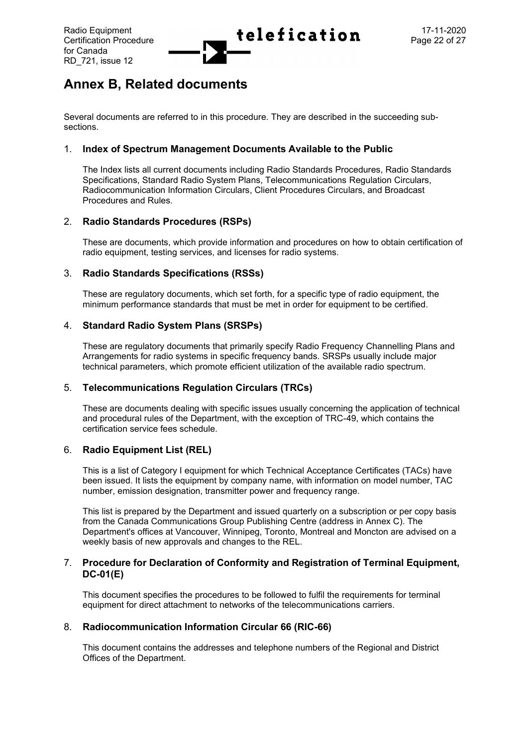

# **Annex B, Related documents**

Several documents are referred to in this procedure. They are described in the succeeding subsections.

#### 1. **Index of Spectrum Management Documents Available to the Public**

The Index lists all current documents including Radio Standards Procedures, Radio Standards Specifications, Standard Radio System Plans, Telecommunications Regulation Circulars, Radiocommunication Information Circulars, Client Procedures Circulars, and Broadcast Procedures and Rules.

## 2. **Radio Standards Procedures (RSPs)**

These are documents, which provide information and procedures on how to obtain certification of radio equipment, testing services, and licenses for radio systems.

#### 3. **Radio Standards Specifications (RSSs)**

These are regulatory documents, which set forth, for a specific type of radio equipment, the minimum performance standards that must be met in order for equipment to be certified.

#### 4. **Standard Radio System Plans (SRSPs)**

These are regulatory documents that primarily specify Radio Frequency Channelling Plans and Arrangements for radio systems in specific frequency bands. SRSPs usually include major technical parameters, which promote efficient utilization of the available radio spectrum.

## 5. **Telecommunications Regulation Circulars (TRCs)**

These are documents dealing with specific issues usually concerning the application of technical and procedural rules of the Department, with the exception of TRC-49, which contains the certification service fees schedule.

## 6. **Radio Equipment List (REL)**

This is a list of Category I equipment for which Technical Acceptance Certificates (TACs) have been issued. It lists the equipment by company name, with information on model number, TAC number, emission designation, transmitter power and frequency range.

This list is prepared by the Department and issued quarterly on a subscription or per copy basis from the Canada Communications Group Publishing Centre (address in Annex C). The Department's offices at Vancouver, Winnipeg, Toronto, Montreal and Moncton are advised on a weekly basis of new approvals and changes to the REL.

#### 7. **Procedure for Declaration of Conformity and Registration of Terminal Equipment, DC-01(E)**

This document specifies the procedures to be followed to fulfil the requirements for terminal equipment for direct attachment to networks of the telecommunications carriers.

#### 8. **Radiocommunication Information Circular 66 (RIC-66)**

This document contains the addresses and telephone numbers of the Regional and District Offices of the Department.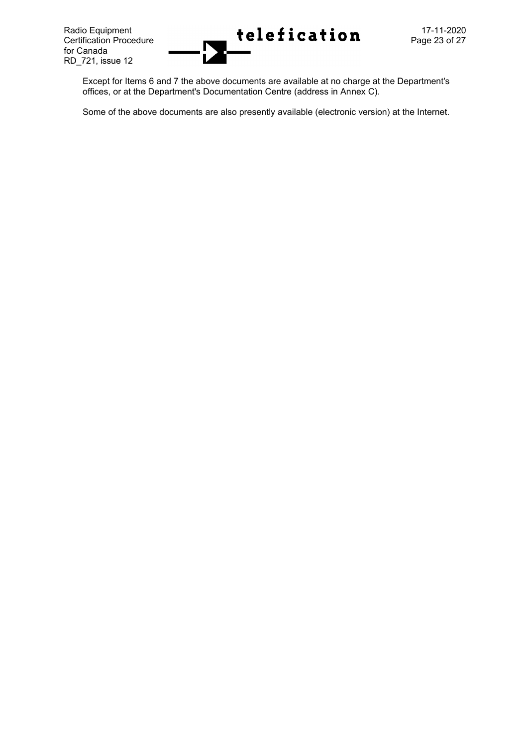

Except for Items 6 and 7 the above documents are available at no charge at the Department's offices, or at the Department's Documentation Centre (address in Annex C).

Some of the above documents are also presently available (electronic version) at the Internet.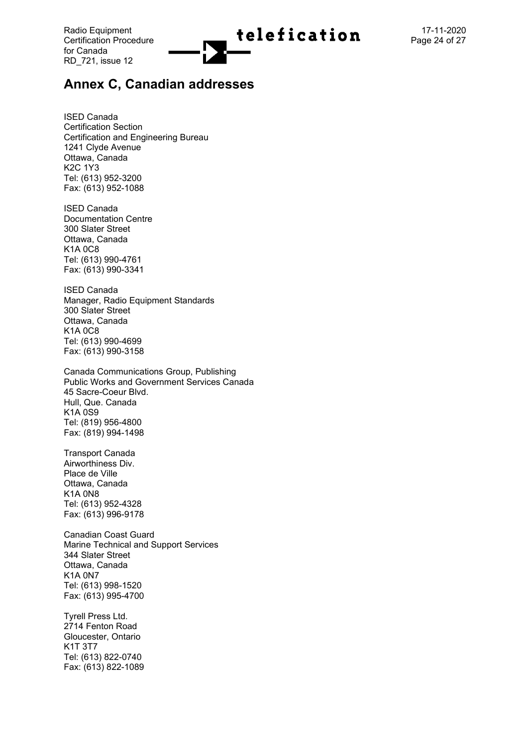

# **Annex C, Canadian addresses**

ISED Canada Certification Section Certification and Engineering Bureau 1241 Clyde Avenue Ottawa, Canada K2C 1Y3 Tel: (613) 952 -3200 Fax: (613) 952 -1088

ISED Canada Documentation Centre 300 Slater Street Ottawa, Canada K1A 0C8 Tel: (613) 990 -4761 Fax: (613) 990 -3341

ISED Canada Manager, Radio Equipment Standards 300 Slater St reet Ottawa, Canada K1A 0C8 Tel: (613) 990 -4699 Fax: (613) 990 -3158

Canada Communications Group, Publishing Public Works and Government Services Canada 45 Sacre -Coeur Blvd. Hull, Que. Canada K1A 0S9 Tel: (819) 956 -4800 Fax: (819) 994 -1498

Transport Canad a Airworthiness Div. Place de Ville Ottawa, Canad a K1A 0N8 Tel: (613) 952 -4328 Fax: (613) 996 -9178

Canadian Coast Guard Marine Technical and Support Services 344 Slater Street Ottawa, Canada K1A 0N7 Tel: (613) 998 -1520 Fax: (613) 995 -4700

Tyrell Press Lt d . 2714 Fenton Road Gloucester, Ontario K1T 3T7 Tel: (613) 822 -0740 Fax: (613) 822 -1089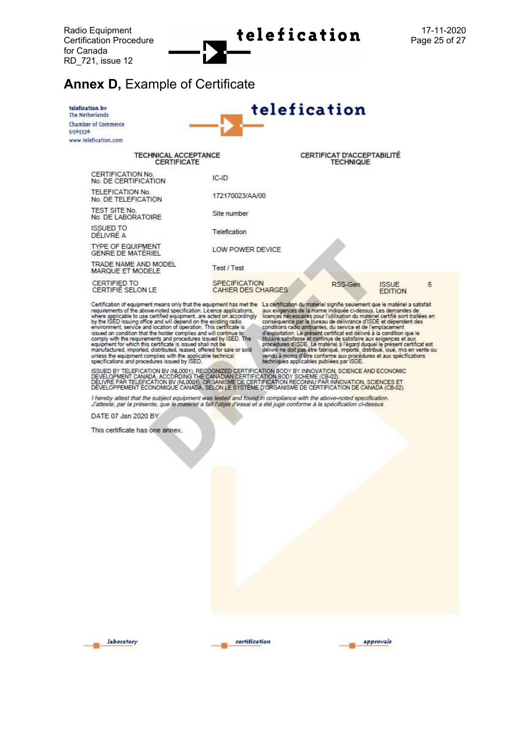Radio Equipment<br>Certification Procedure<br> $\begin{array}{ccc}\n\bullet & \bullet & \bullet \\
\bullet & \bullet & \bullet & \bullet\n\end{array}$ <br> **Cation**<br>Page 25 of 27

# **Annex D.** Example of Certificate



Certification of equipment means only that the equipment has met the La certification du matériel signifie seulement que le matériel a satisfait requirements of the above-noted specification. Licence applications, aux exig

ISSUED BY TELEFICATION BV (NL0001), RECOGNIZED CERTIFICATION BODY BY INNOVATION, SCIENCE AND ECONOMIC<br>DEVELOPMENT CANADA, ACCORDING THE CANADIAN CERTIFICATION BODY SCHEME (CB-02).<br>DELIVRE PAR TELEFICATION BV (NL0001), ORGA

l hereby attest that the subject equipment was tested and found in compliance with the above-noted specification.<br>J'atteste, par la présente, que le matériel a fait l'objet d'essai et a été jugé conforme à la spécification

DATE 07 Jan 2020 BY

This certificate has one annex.





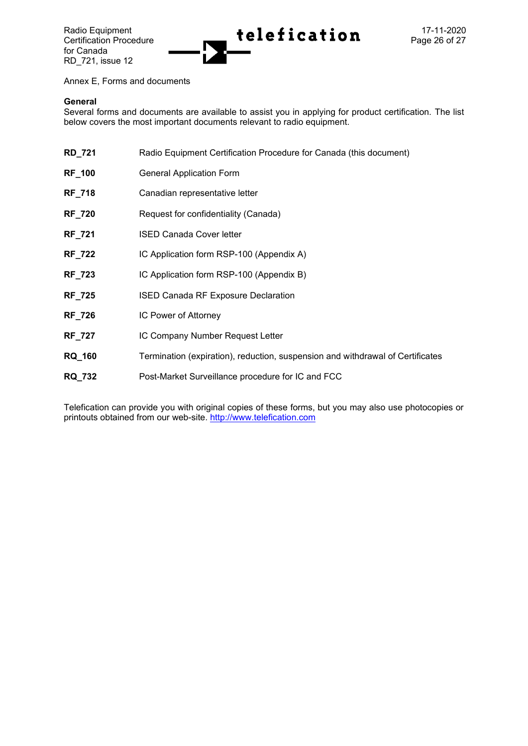for Canada RD\_721, issue 12



Annex E, Forms and documents

#### **General**

Several forms and documents are available to assist you in applying for product certification. The list below covers the most important documents relevant to radio equipment.

| <b>RD_721</b> | Radio Equipment Certification Procedure for Canada (this document)             |
|---------------|--------------------------------------------------------------------------------|
| <b>RF_100</b> | <b>General Application Form</b>                                                |
| <b>RF_718</b> | Canadian representative letter                                                 |
| <b>RF_720</b> | Request for confidentiality (Canada)                                           |
| <b>RF_721</b> | <b>ISED Canada Cover letter</b>                                                |
| <b>RF_722</b> | IC Application form RSP-100 (Appendix A)                                       |
| <b>RF_723</b> | IC Application form RSP-100 (Appendix B)                                       |
| <b>RF_725</b> | <b>ISED Canada RF Exposure Declaration</b>                                     |
| <b>RF_726</b> | IC Power of Attorney                                                           |
| <b>RF_727</b> | IC Company Number Request Letter                                               |
| <b>RQ_160</b> | Termination (expiration), reduction, suspension and withdrawal of Certificates |
| <b>RQ_732</b> | Post-Market Surveillance procedure for IC and FCC                              |

Telefication can provide you with original copies of these forms, but you may also use photocopies or printouts obtained from our web-site. [http://www.telefication.com](http://www.telefication.com/)